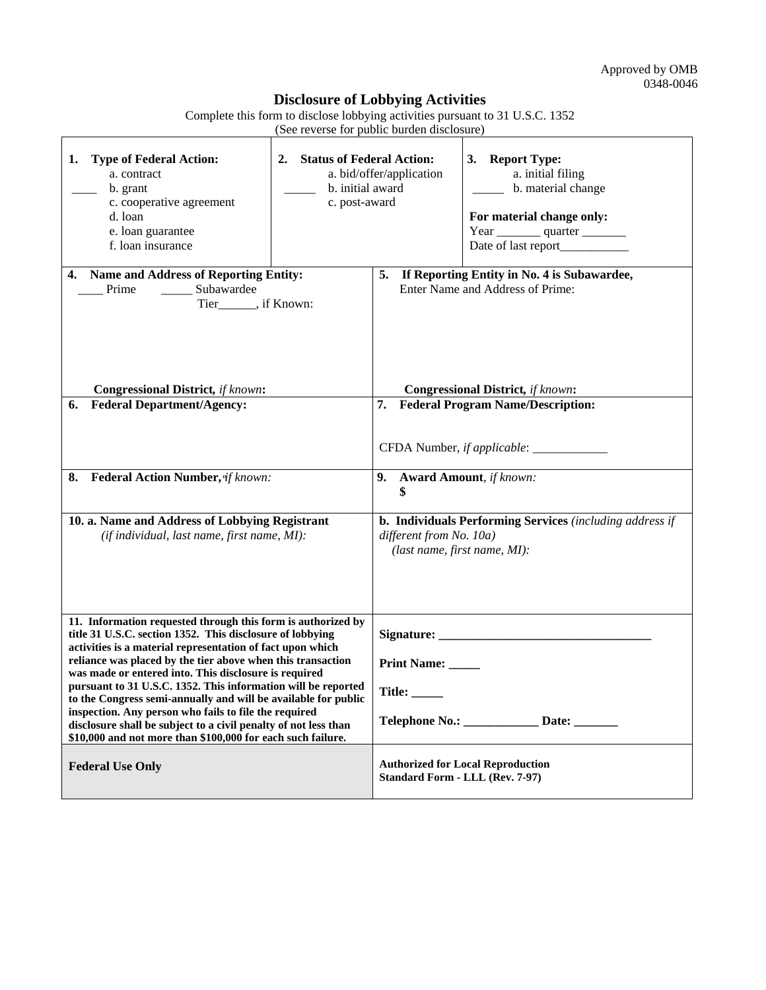## **Disclosure of Lobbying Activities**

Complete this form to disclose lobbying activities pursuant to 31 U.S.C. 1352 (See reverse for public burden disclosure)

| <b>Type of Federal Action:</b><br>1.<br>a. contract<br>b. grant<br>c. cooperative agreement<br>d. loan<br>e. loan guarantee<br>f. loan insurance                                                                                                                                                                                                                                                                                                                                                                                                                                                                                              | <b>Status of Federal Action:</b><br>2.<br>a. bid/offer/application<br>b. initial award<br>c. post-award |                                                                                                                     | 3. Report Type:<br>a. initial filing<br>b. material change<br>For material change only:<br>Year ___________ quarter ___________ |
|-----------------------------------------------------------------------------------------------------------------------------------------------------------------------------------------------------------------------------------------------------------------------------------------------------------------------------------------------------------------------------------------------------------------------------------------------------------------------------------------------------------------------------------------------------------------------------------------------------------------------------------------------|---------------------------------------------------------------------------------------------------------|---------------------------------------------------------------------------------------------------------------------|---------------------------------------------------------------------------------------------------------------------------------|
| <b>Name and Address of Reporting Entity:</b><br>4.<br>Prime<br>Subawardee<br>Tier______, if Known:                                                                                                                                                                                                                                                                                                                                                                                                                                                                                                                                            |                                                                                                         | If Reporting Entity in No. 4 is Subawardee,<br>5.<br>Enter Name and Address of Prime:                               |                                                                                                                                 |
| <b>Congressional District, if known:</b>                                                                                                                                                                                                                                                                                                                                                                                                                                                                                                                                                                                                      |                                                                                                         | <b>Congressional District, if known:</b>                                                                            |                                                                                                                                 |
| <b>Federal Department/Agency:</b><br>6.<br>8. Federal Action Number, vif known:                                                                                                                                                                                                                                                                                                                                                                                                                                                                                                                                                               |                                                                                                         | 7. Federal Program Name/Description:<br>9. Award Amount, if known:<br>S                                             |                                                                                                                                 |
| 10. a. Name and Address of Lobbying Registrant<br>(if individual, last name, first name, MI):                                                                                                                                                                                                                                                                                                                                                                                                                                                                                                                                                 |                                                                                                         | b. Individuals Performing Services (including address if<br>different from No. 10a)<br>(last name, first name, MI): |                                                                                                                                 |
| 11. Information requested through this form is authorized by<br>title 31 U.S.C. section 1352. This disclosure of lobbying<br>activities is a material representation of fact upon which<br>reliance was placed by the tier above when this transaction<br>was made or entered into. This disclosure is required<br>pursuant to 31 U.S.C. 1352. This information will be reported<br>to the Congress semi-annually and will be available for public<br>inspection. Any person who fails to file the required<br>disclosure shall be subject to a civil penalty of not less than<br>\$10,000 and not more than \$100,000 for each such failure. |                                                                                                         | Print Name:<br>Title:<br>Telephone No.: ________________ Date: _______                                              |                                                                                                                                 |
| <b>Federal Use Only</b>                                                                                                                                                                                                                                                                                                                                                                                                                                                                                                                                                                                                                       |                                                                                                         | <b>Authorized for Local Reproduction</b><br><b>Standard Form - LLL (Rev. 7-97)</b>                                  |                                                                                                                                 |